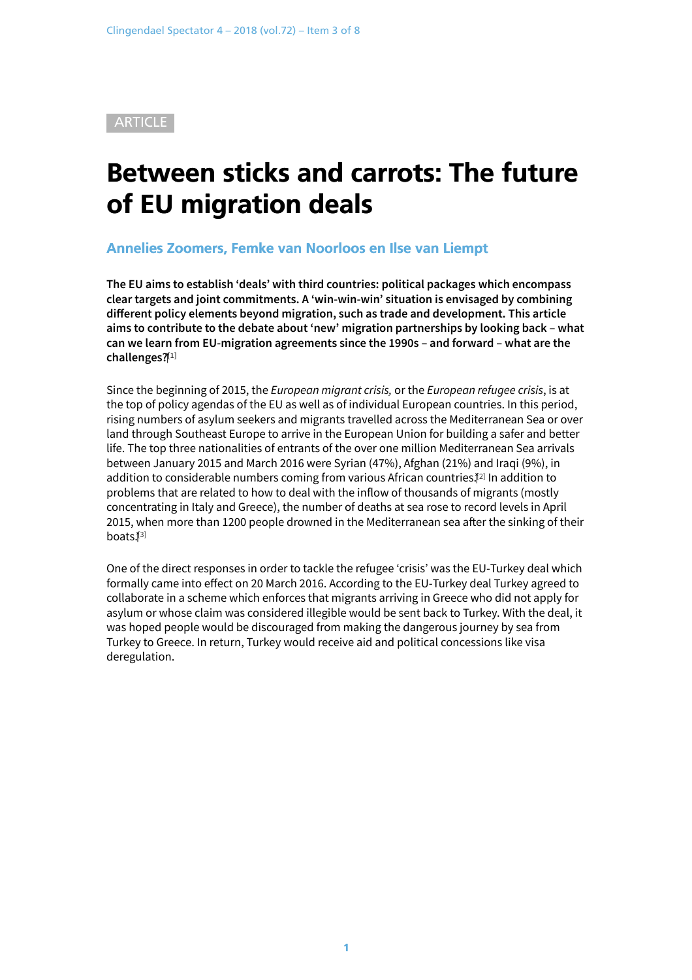<span id="page-0-0"></span>**ARTICLE** 

# Between sticks and carrots: The future of EU migration deals

#### Annelies Zoomers, Femke van Noorloos en Ilse van Liempt

**The EU aims to establish 'deals' with third countries: political packages which encompass clear targets and joint commitments. A 'win-win-win' situation is envisaged by combining different policy elements beyond migration, such as trade and development. This article aims to contribute to the debate about 'new' migration partnerships by looking back – what can we learn from EU-migration agreements since the 1990s – and forward – what are the challenges? [\[1\]](#page-0-0)**

Since the beginning of 2015, the *European migrant crisis,* or the *European refugee crisis*, is at the top of policy agendas of the EU as well as of individual European countries. In this period, rising numbers of asylum seekers and migrants travelled across the Mediterranean Sea or over land through Southeast Europe to arrive in the European Union for building a safer and better life. The top three nationalities of entrants of the over one million Mediterranean Sea arrivals between January 2015 and March 2016 were Syrian (47%), Afghan (21%) and Iraqi (9%), in addition to considerable numbers coming from various African countries. [\[2\]](#page-0-0) In addition to problems that are related to how to deal with the inflow of thousands of migrants (mostly concentrating in Italy and Greece), the number of deaths at sea rose to record levels in April 2015, when more than 1200 people drowned in the Mediterranean sea after the sinking of their boats. [\[3\]](#page-0-0)

One of the direct responses in order to tackle the refugee 'crisis' was the EU-Turkey deal which formally came into effect on 20 March 2016. According to the EU-Turkey deal Turkey agreed to collaborate in a scheme which enforces that migrants arriving in Greece who did not apply for asylum or whose claim was considered illegible would be sent back to Turkey. With the deal, it was hoped people would be discouraged from making the dangerous journey by sea from Turkey to Greece. In return, Turkey would receive aid and political concessions like visa deregulation.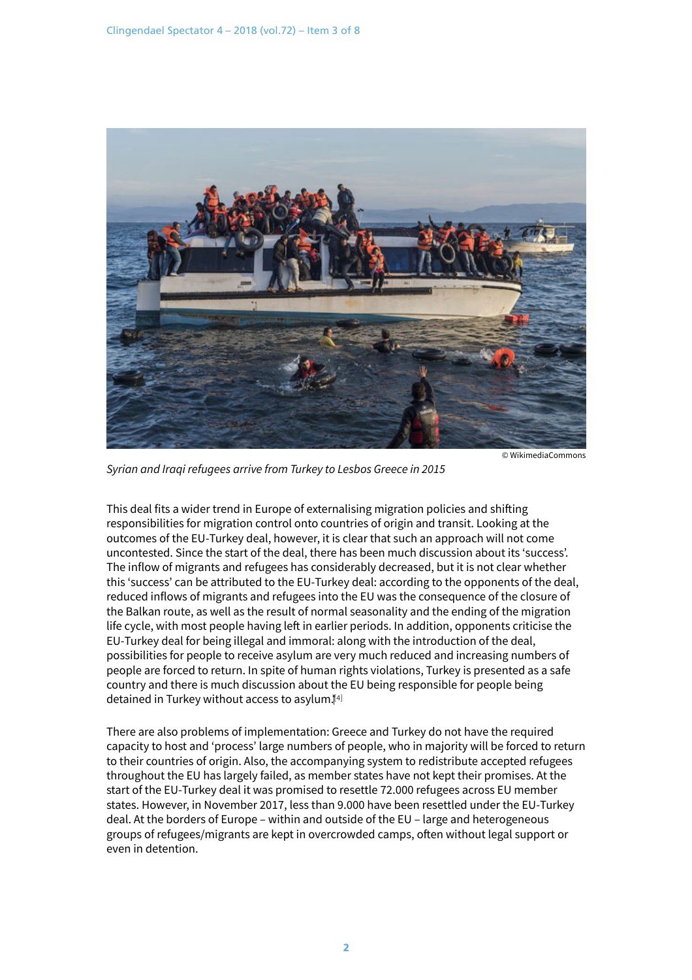

*Syrian and Iraqi refugees arrive from Turkey to Lesbos Greece in 2015*

This deal fits a wider trend in Europe of externalising migration policies and shifting responsibilities for migration control onto countries of origin and transit. Looking at the outcomes of the EU-Turkey deal, however, it is clear that such an approach will not come uncontested. Since the start of the deal, there has been much discussion about its 'success'. The inflow of migrants and refugees has considerably decreased, but it is not clear whether this 'success' can be attributed to the EU-Turkey deal: according to the opponents of the deal, reduced inflows of migrants and refugees into the EU was the consequence of the closure of the Balkan route, as well as the result of normal seasonality and the ending of the migration life cycle, with most people having left in earlier periods. In addition, opponents criticise the EU-Turkey deal for being illegal and immoral: along with the introduction of the deal, possibilities for people to receive asylum are very much reduced and increasing numbers of people are forced to return. In spite of human rights violations, Turkey is presented as a safe country and there is much discussion about the EU being responsible for people being detained in Turkey without access to asylum. [\[4\]](#page-0-0)

There are also problems of implementation: Greece and Turkey do not have the required capacity to host and 'process' large numbers of people, who in majority will be forced to return to their countries of origin. Also, the accompanying system to redistribute accepted refugees throughout the EU has largely failed, as member states have not kept their promises. At the start of the EU-Turkey deal it was promised to resettle 72.000 refugees across EU member states. However, in November 2017, less than 9.000 have been resettled under the EU-Turkey deal. At the borders of Europe – within and outside of the EU – large and heterogeneous groups of refugees/migrants are kept in overcrowded camps, often without legal support or even in detention.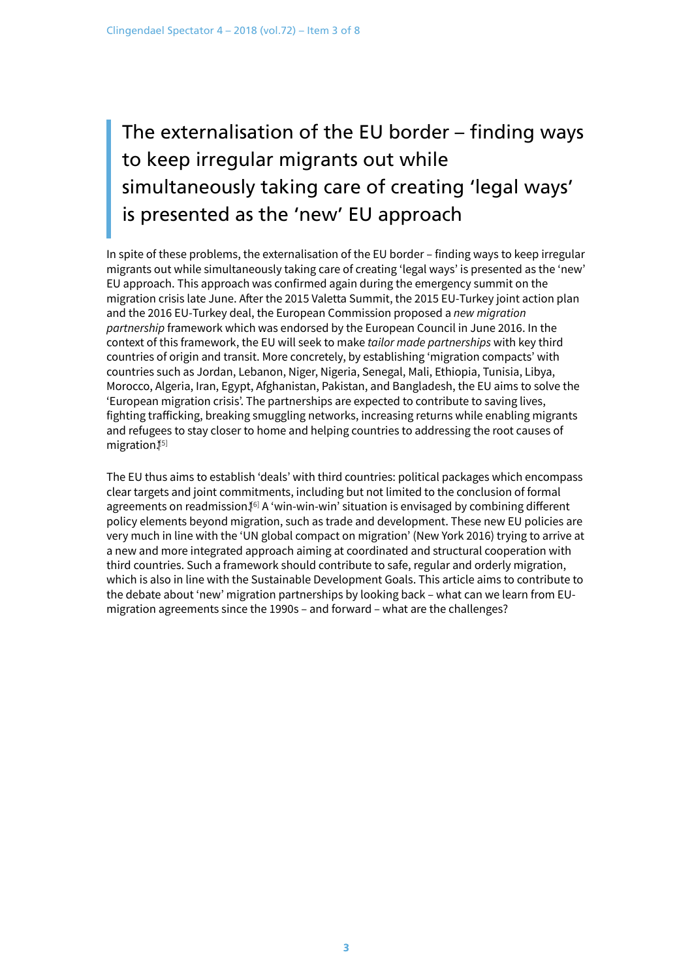## The externalisation of the EU border – finding ways to keep irregular migrants out while simultaneously taking care of creating 'legal ways' is presented as the 'new' EU approach

In spite of these problems, the externalisation of the EU border – finding ways to keep irregular migrants out while simultaneously taking care of creating 'legal ways' is presented as the 'new' EU approach. This approach was confirmed again during the emergency summit on the migration crisis late June. After the 2015 Valetta Summit, the 2015 EU-Turkey joint action plan and the 2016 EU-Turkey deal, the European Commission proposed a *new migration partnership* framework which was endorsed by the European Council in June 2016. In the context of this framework, the EU will seek to make *tailor made partnerships* with key third countries of origin and transit. More concretely, by establishing 'migration compacts' with countries such as Jordan, Lebanon, Niger, Nigeria, Senegal, Mali, Ethiopia, Tunisia, Libya, Morocco, Algeria, Iran, Egypt, Afghanistan, Pakistan, and Bangladesh, the EU aims to solve the 'European migration crisis'. The partnerships are expected to contribute to saving lives, fighting trafficking, breaking smuggling networks, increasing returns while enabling migrants and refugees to stay closer to home and helping countries to addressing the root causes of migration.[\[5\]](#page-0-0)

The EU thus aims to establish 'deals' with third countries: political packages which encompass clear targets and joint commitments, including but not limited to the conclusion of formal agreements on readmission.ǐ[\[6\]](#page-0-0) A 'win-win-win' situation is envisaged by combining different policy elements beyond migration, such as trade and development. These new EU policies are very much in line with the 'UN global compact on migration' (New York 2016) trying to arrive at a new and more integrated approach aiming at coordinated and structural cooperation with third countries. Such a framework should contribute to safe, regular and orderly migration, which is also in line with the Sustainable Development Goals. This article aims to contribute to the debate about 'new' migration partnerships by looking back – what can we learn from EUmigration agreements since the 1990s – and forward – what are the challenges?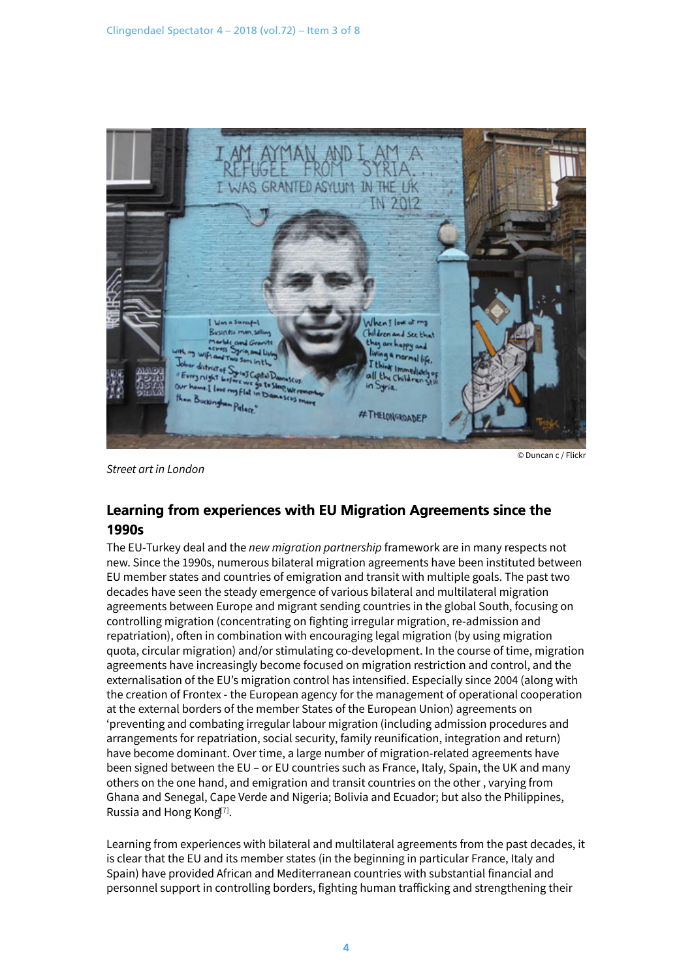

*Street art in London*

© Duncan c / Flickr

## Learning from experiences with EU Migration Agreements since the 1990s

The EU-Turkey deal and the *new migration partnership* framework are in many respects not new. Since the 1990s, numerous bilateral migration agreements have been instituted between EU member states and countries of emigration and transit with multiple goals. The past two decades have seen the steady emergence of various bilateral and multilateral migration agreements between Europe and migrant sending countries in the global South, focusing on controlling migration (concentrating on fighting irregular migration, re-admission and repatriation), often in combination with encouraging legal migration (by using migration quota, circular migration) and/or stimulating co-development. In the course of time, migration agreements have increasingly become focused on migration restriction and control, and the externalisation of the EU's migration control has intensified. Especially since 2004 (along with the creation of Frontex - the European agency for the management of operational cooperation at the external borders of the member States of the European Union) agreements on 'preventing and combating irregular labour migration (including admission procedures and arrangements for repatriation, social security, family reunification, integration and return) have become dominant. Over time, a large number of migration-related agreements have been signed between the EU – or EU countries such as France, Italy, Spain, the UK and many others on the one hand, and emigration and transit countries on the other , varying from Ghana and Senegal, Cape Verde and Nigeria; Bolivia and Ecuador; but also the Philippines, Russia and Hong Kong<sup>[\[7\]](#page-0-0)</sup>.

Learning from experiences with bilateral and multilateral agreements from the past decades, it is clear that the EU and its member states (in the beginning in particular France, Italy and Spain) have provided African and Mediterranean countries with substantial financial and personnel support in controlling borders, fighting human trafficking and strengthening their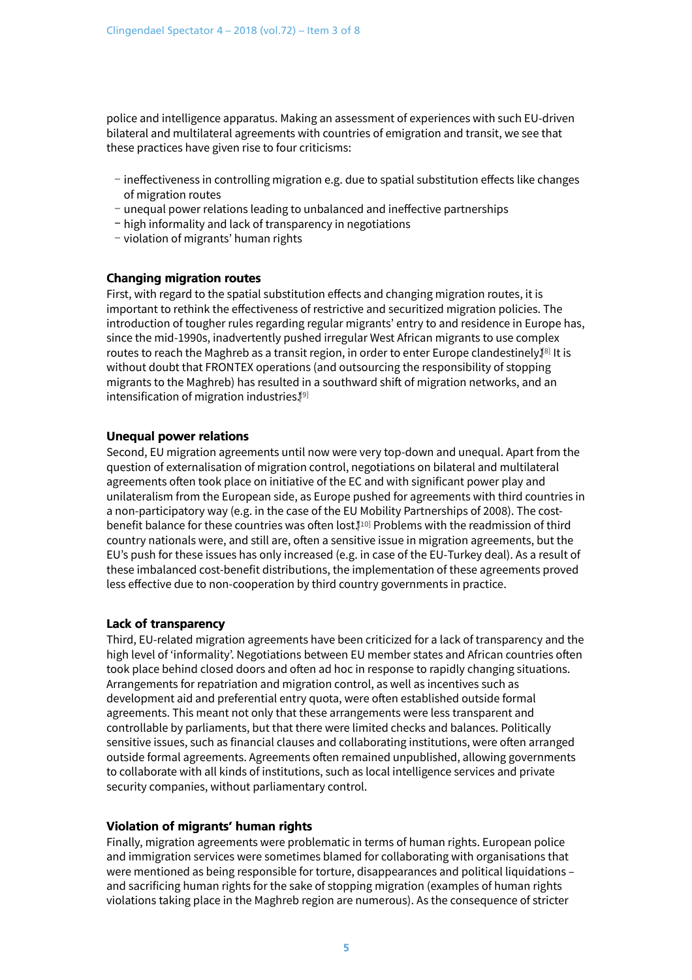police and intelligence apparatus. Making an assessment of experiences with such EU-driven bilateral and multilateral agreements with countries of emigration and transit, we see that these practices have given rise to four criticisms:

- ineffectiveness in controlling migration e.g. due to spatial substitution effects like changes of migration routes
- unequal power relations leading to unbalanced and ineffective partnerships
- high informality and lack of transparency in negotiations
- violation of migrants' human rights

#### Changing migration routes

First, with regard to the spatial substitution effects and changing migration routes, it is important to rethink the effectiveness of restrictive and securitized migration policies. The introduction of tougher rules regarding regular migrants' entry to and residence in Europe has, since the mid-1990s, inadvertently pushed irregular West African migrants to use complex routes to reach the Maghreb as a transit region, in order to enter Europe clandestinely.[\[8\]](#page-0-0) It is without doubt that FRONTEX operations (and outsourcing the responsibility of stopping migrants to the Maghreb) has resulted in a southward shift of migration networks, and an intensification of migration industries. [\[9\]](#page-0-0)

#### Unequal power relations

Second, EU migration agreements until now were very top-down and unequal. Apart from the question of externalisation of migration control, negotiations on bilateral and multilateral agreements often took place on initiative of the EC and with significant power play and unilateralism from the European side, as Europe pushed for agreements with third countries in a non-participatory way (e.g. in the case of the EU Mobility Partnerships of 2008). The costbenefit balance for these countries was often lost. [\[10\]](#page-0-0) Problems with the readmission of third country nationals were, and still are, often a sensitive issue in migration agreements, but the EU's push for these issues has only increased (e.g. in case of the EU-Turkey deal). As a result of these imbalanced cost-benefit distributions, the implementation of these agreements proved less effective due to non-cooperation by third country governments in practice.

#### Lack of transparency

Third, EU-related migration agreements have been criticized for a lack of transparency and the high level of 'informality'. Negotiations between EU member states and African countries often took place behind closed doors and often ad hoc in response to rapidly changing situations. Arrangements for repatriation and migration control, as well as incentives such as development aid and preferential entry quota, were often established outside formal agreements. This meant not only that these arrangements were less transparent and controllable by parliaments, but that there were limited checks and balances. Politically sensitive issues, such as financial clauses and collaborating institutions, were often arranged outside formal agreements. Agreements often remained unpublished, allowing governments to collaborate with all kinds of institutions, such as local intelligence services and private security companies, without parliamentary control.

#### Violation of migrants' human rights

Finally, migration agreements were problematic in terms of human rights. European police and immigration services were sometimes blamed for collaborating with organisations that were mentioned as being responsible for torture, disappearances and political liquidations – and sacrificing human rights for the sake of stopping migration (examples of human rights violations taking place in the Maghreb region are numerous). As the consequence of stricter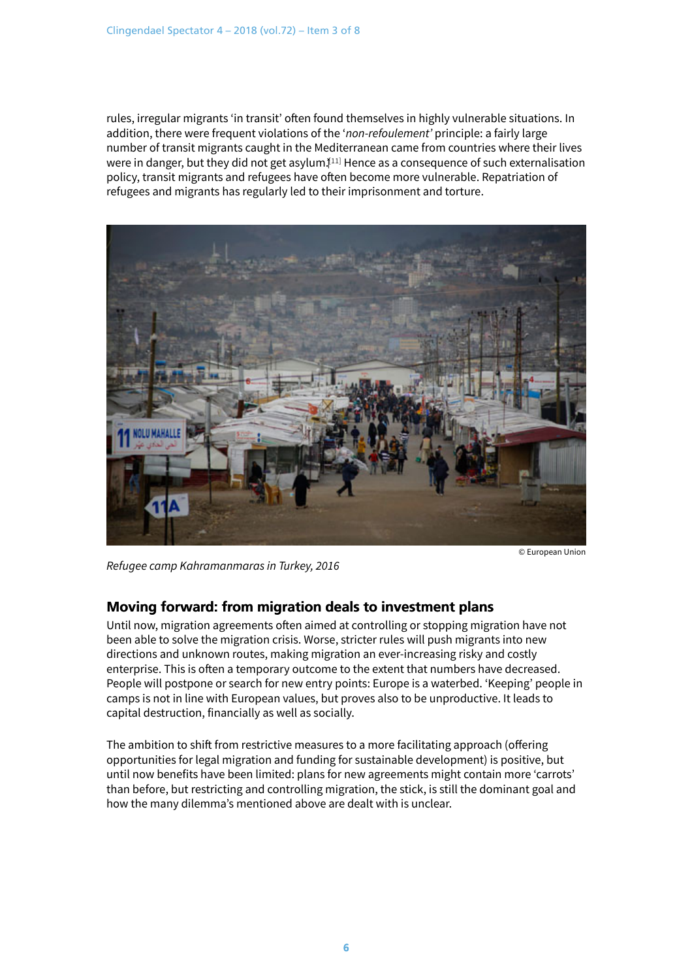rules, irregular migrants 'in transit' often found themselves in highly vulnerable situations. In addition, there were frequent violations of the '*non-refoulement'* principle: a fairly large number of transit migrants caught in the Mediterranean came from countries where their lives were in danger, but they did not get asylum. $\mathbb{I}^{11]}$  Hence as a consequence of such externalisation policy, transit migrants and refugees have often become more vulnerable. Repatriation of refugees and migrants has regularly led to their imprisonment and torture.



*Refugee camp Kahramanmaras in Turkey, 2016*

### Moving forward: from migration deals to investment plans

Until now, migration agreements often aimed at controlling or stopping migration have not been able to solve the migration crisis. Worse, stricter rules will push migrants into new directions and unknown routes, making migration an ever-increasing risky and costly enterprise. This is often a temporary outcome to the extent that numbers have decreased. People will postpone or search for new entry points: Europe is a waterbed. 'Keeping' people in camps is not in line with European values, but proves also to be unproductive. It leads to capital destruction, financially as well as socially.

The ambition to shift from restrictive measures to a more facilitating approach (offering opportunities for legal migration and funding for sustainable development) is positive, but until now benefits have been limited: plans for new agreements might contain more 'carrots' than before, but restricting and controlling migration, the stick, is still the dominant goal and how the many dilemma's mentioned above are dealt with is unclear.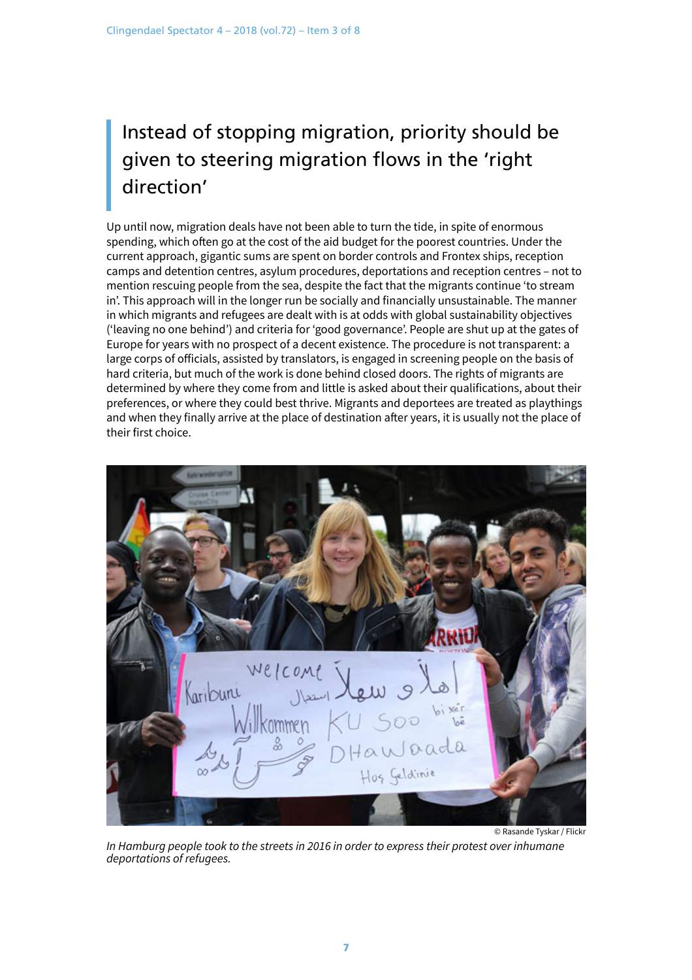## Instead of stopping migration, priority should be given to steering migration flows in the 'right direction'

Up until now, migration deals have not been able to turn the tide, in spite of enormous spending, which often go at the cost of the aid budget for the poorest countries. Under the current approach, gigantic sums are spent on border controls and Frontex ships, reception camps and detention centres, asylum procedures, deportations and reception centres – not to mention rescuing people from the sea, despite the fact that the migrants continue 'to stream in'. This approach will in the longer run be socially and financially unsustainable. The manner in which migrants and refugees are dealt with is at odds with global sustainability objectives ('leaving no one behind') and criteria for 'good governance'. People are shut up at the gates of Europe for years with no prospect of a decent existence. The procedure is not transparent: a large corps of officials, assisted by translators, is engaged in screening people on the basis of hard criteria, but much of the work is done behind closed doors. The rights of migrants are determined by where they come from and little is asked about their qualifications, about their preferences, or where they could best thrive. Migrants and deportees are treated as playthings and when they finally arrive at the place of destination after years, it is usually not the place of their first choice.



*In Hamburg people took to the streets in 2016 in order to express their protest over inhumane deportations of refugees.*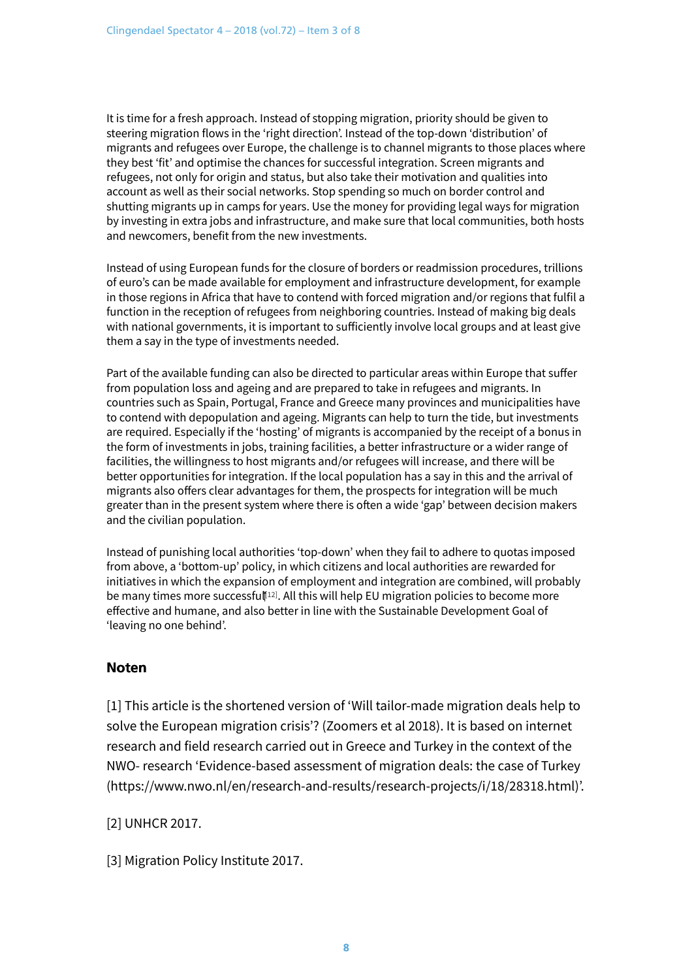It is time for a fresh approach. Instead of stopping migration, priority should be given to steering migration flows in the 'right direction'. Instead of the top-down 'distribution' of migrants and refugees over Europe, the challenge is to channel migrants to those places where they best 'fit' and optimise the chances for successful integration. Screen migrants and refugees, not only for origin and status, but also take their motivation and qualities into account as well as their social networks. Stop spending so much on border control and shutting migrants up in camps for years. Use the money for providing legal ways for migration by investing in extra jobs and infrastructure, and make sure that local communities, both hosts and newcomers, benefit from the new investments.

Instead of using European funds for the closure of borders or readmission procedures, trillions of euro's can be made available for employment and infrastructure development, for example in those regions in Africa that have to contend with forced migration and/or regions that fulfil a function in the reception of refugees from neighboring countries. Instead of making big deals with national governments, it is important to sufficiently involve local groups and at least give them a say in the type of investments needed.

Part of the available funding can also be directed to particular areas within Europe that suffer from population loss and ageing and are prepared to take in refugees and migrants. In countries such as Spain, Portugal, France and Greece many provinces and municipalities have to contend with depopulation and ageing. Migrants can help to turn the tide, but investments are required. Especially if the 'hosting' of migrants is accompanied by the receipt of a bonus in the form of investments in jobs, training facilities, a better infrastructure or a wider range of facilities, the willingness to host migrants and/or refugees will increase, and there will be better opportunities for integration. If the local population has a say in this and the arrival of migrants also offers clear advantages for them, the prospects for integration will be much greater than in the present system where there is often a wide 'gap' between decision makers and the civilian population.

Instead of punishing local authorities 'top-down' when they fail to adhere to quotas imposed from above, a 'bottom-up' policy, in which citizens and local authorities are rewarded for initiatives in which the expansion of employment and integration are combined, will probably be many times more successful [\[12\]](#page-0-0). All this will help EU migration policies to become more effective and humane, and also better in line with the Sustainable Development Goal of 'leaving no one behind'.

### Noten

[1] This article is the shortened version of 'Will tailor-made migration deals help to solve the European migration crisis'? (Zoomers et al 2018). It is based on internet research and field research carried out in Greece and Turkey in the context of the NWO- research ['Evidence-based assessment of migration deals: the case of Turkey](https://www.nwo.nl/en/research-and-results/research-projects/i/18/28318.html) [\(https://www.nwo.nl/en/research-and-results/research-projects/i/18/28318.html\)](https://www.nwo.nl/en/research-and-results/research-projects/i/18/28318.html)'.

[2] UNHCR 2017.

[3] Migration Policy Institute 2017.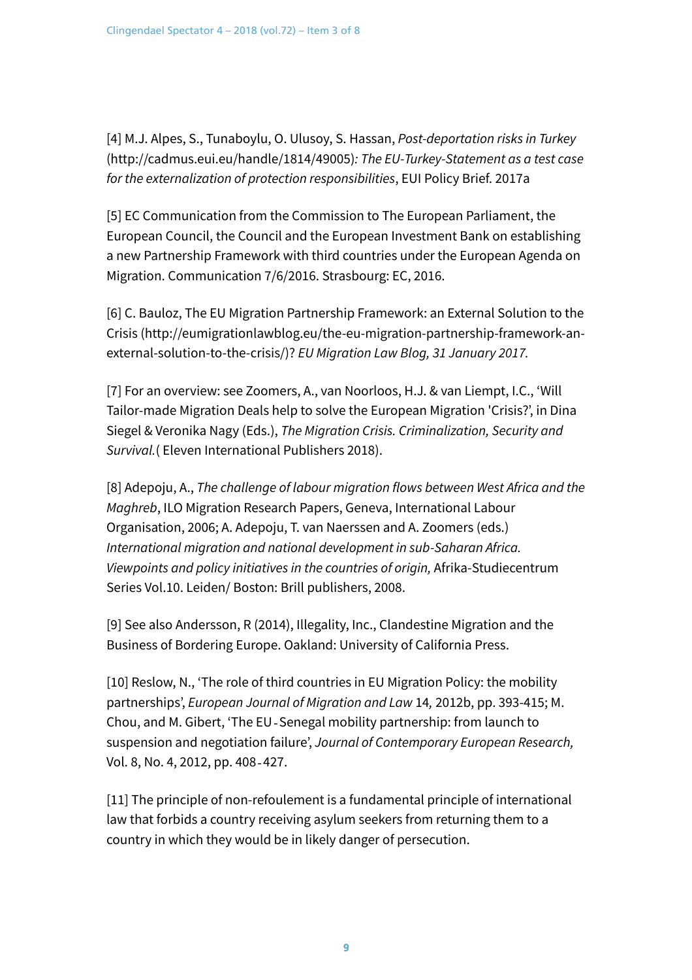[4] M.J. Alpes, S., Tunaboylu, O. Ulusoy, S. Hassan, *[Post-deportation risks in Turkey](http://cadmus.eui.eu/handle/1814/49005)* [\(http://cadmus.eui.eu/handle/1814/49005\)](http://cadmus.eui.eu/handle/1814/49005)*: The EU-Turkey-Statement as a test case for the externalization of protection responsibilities*, EUI Policy Brief. 2017a

[5] EC Communication from the Commission to The European Parliament, the European Council, the Council and the European Investment Bank on establishing a new Partnership Framework with third countries under the European Agenda on Migration. Communication 7/6/2016. Strasbourg: EC, 2016.

[6] C. Bauloz, [The EU Migration Partnership Framework: an External Solution to the](http://eumigrationlawblog.eu/the-eu-migration-partnership-framework-an-external-solution-to-the-crisis/) Crisis [\(http://eumigrationlawblog.eu/the-eu-migration-partnership-framework-an](http://eumigrationlawblog.eu/the-eu-migration-partnership-framework-an-external-solution-to-the-crisis/)[external-solution-to-the-crisis/\)?](http://eumigrationlawblog.eu/the-eu-migration-partnership-framework-an-external-solution-to-the-crisis/) *EU Migration Law Blog, 31 January 2017.*

[7] For an overview: see Zoomers, A., van Noorloos, H.J. & van Liempt, I.C., 'Will Tailor-made Migration Deals help to solve the European Migration 'Crisis?', in Dina Siegel & Veronika Nagy (Eds.), *The Migration Crisis. Criminalization, Security and Survival.*( Eleven International Publishers 2018).

[8] Adepoju, A., *The challenge of labour migration flows between West Africa and the Maghreb*, ILO Migration Research Papers, Geneva, International Labour Organisation, 2006; A. Adepoju, T. van Naerssen and A. Zoomers (eds.) *International migration and national development in sub-Saharan Africa. Viewpoints and policy initiatives in the countries of origin,* Afrika-Studiecentrum Series Vol.10. Leiden/ Boston: Brill publishers, 2008.

[9] See also Andersson, R (2014), Illegality, Inc., Clandestine Migration and the Business of Bordering Europe. Oakland: University of California Press.

[10] Reslow, N., 'The role of third countries in EU Migration Policy: the mobility partnerships', *European Journal of Migration and Law* 14*,* 2012b, pp. 393-415; M. Chou, and M. Gibert, 'The EU‐Senegal mobility partnership: from launch to suspension and negotiation failure', *Journal of Contemporary European Research,* Vol. 8, No. 4, 2012, pp. 408‐427.

[11] The principle of non-refoulement is a fundamental principle of international law that forbids a country receiving asylum seekers from returning them to a country in which they would be in likely danger of persecution.